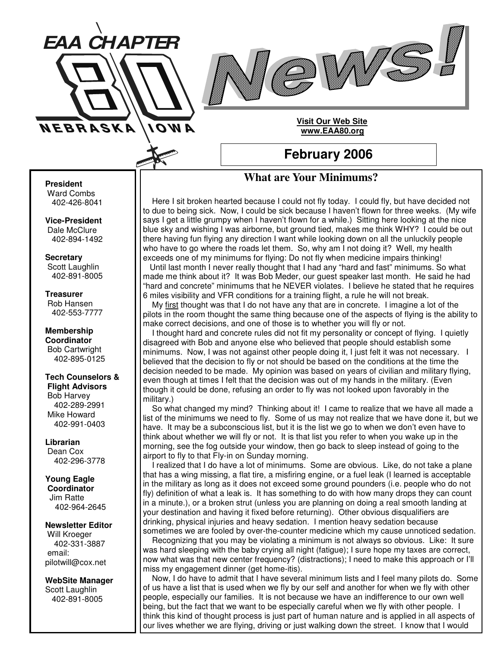



## **Visit Our Web Site www.EAA80.org**

## **February 2006**

## **What are Your Minimums?**

Here I sit broken hearted because I could not fly today. I could fly, but have decided not to due to being sick. Now, I could be sick because I haven't flown for three weeks. (My wife says I get a little grumpy when I haven't flown for a while.) Sitting here looking at the nice blue sky and wishing I was airborne, but ground tied, makes me think WHY? I could be out there having fun flying any direction I want while looking down on all the unluckily people who have to go where the roads let them. So, why am I not doing it? Well, my health exceeds one of my minimums for flying: Do not fly when medicine impairs thinking! Until last month I never really thought that I had any "hard and fast" minimums. So what made me think about it? It was Bob Meder, our guest speaker last month. He said he had "hard and concrete" minimums that he NEVER violates. I believe he stated that he requires 6 miles visibility and VFR conditions for a training flight, a rule he will not break.

My first thought was that I do not have any that are in concrete. I imagine a lot of the pilots in the room thought the same thing because one of the aspects of flying is the ability to make correct decisions, and one of those is to whether you will fly or not.

I thought hard and concrete rules did not fit my personality or concept of flying. I quietly disagreed with Bob and anyone else who believed that people should establish some minimums. Now, I was not against other people doing it, I just felt it was not necessary. I believed that the decision to fly or not should be based on the conditions at the time the decision needed to be made. My opinion was based on years of civilian and military flying, even though at times I felt that the decision was out of my hands in the military. (Even though it could be done, refusing an order to fly was not looked upon favorably in the military.)

So what changed my mind? Thinking about it! I came to realize that we have all made a list of the minimums we need to fly. Some of us may not realize that we have done it, but we have. It may be a subconscious list, but it is the list we go to when we don't even have to think about whether we will fly or not. It is that list you refer to when you wake up in the morning, see the fog outside your window, then go back to sleep instead of going to the airport to fly to that Fly-in on Sunday morning.

I realized that I do have a lot of minimums. Some are obvious. Like, do not take a plane that has a wing missing, a flat tire, a misfiring engine, or a fuel leak (I learned is acceptable in the military as long as it does not exceed some ground pounders (i.e. people who do not fly) definition of what a leak is. It has something to do with how many drops they can count in a minute.), or a broken strut (unless you are planning on doing a real smooth landing at your destination and having it fixed before returning). Other obvious disqualifiers are drinking, physical injuries and heavy sedation. I mention heavy sedation because sometimes we are fooled by over-the-counter medicine which my cause unnoticed sedation.

Recognizing that you may be violating a minimum is not always so obvious. Like: It sure was hard sleeping with the baby crying all night (fatigue); I sure hope my taxes are correct, now what was that new center frequency? (distractions); I need to make this approach or I'll miss my engagement dinner (get home-itis).

Now, I do have to admit that I have several minimum lists and I feel many pilots do. Some of us have a list that is used when we fly by our self and another for when we fly with other people, especially our families. It is not because we have an indifference to our own well being, but the fact that we want to be especially careful when we fly with other people. I think this kind of thought process is just part of human nature and is applied in all aspects of our lives whether we are flying, driving or just walking down the street. I know that I would

## **President**

Ward Combs 402-426-8041

**Vice-President** Dale McClure 402-894-1492

**Secretary** Scott Laughlin 402-891-8005

**Treasurer** Rob Hansen 402-553-7777

**Membership Coordinator** Bob Cartwright 402-895-0125

**Tech Counselors & Flight Advisors** Bob Harvey 402-289-2991 Mike Howard 402-991-0403

**Librarian** Dean Cox 402-296-3778

**Young Eagle**

**Coordinator** Jim Ratte 402-964-2645

**Newsletter Editor** Will Kroeger 402-331-3887 email: pilotwill@cox.net

**WebSite Manager** Scott Laughlin 402-891-8005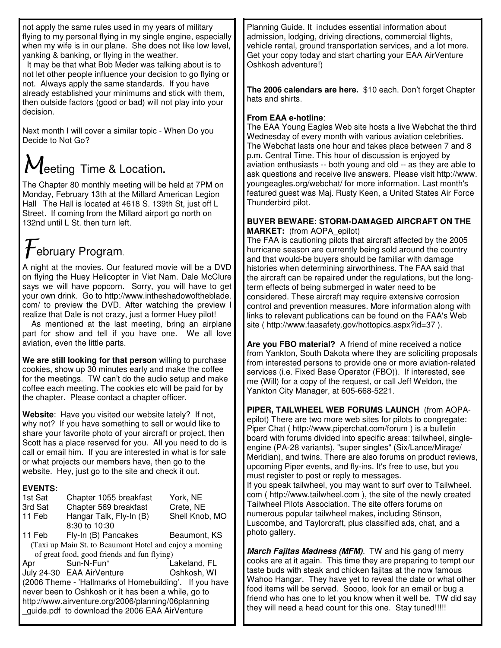not apply the same rules used in my years of military flying to my personal flying in my single engine, especially when my wife is in our plane. She does not like low level, yanking & banking, or flying in the weather.

It may be that what Bob Meder was talking about is to not let other people influence your decision to go flying or not. Always apply the same standards. If you have already established your minimums and stick with them, then outside factors (good or bad) will not play into your decision.

Next month I will cover a similar topic - When Do you Decide to Not Go?

# $M$ eeting Time & Location.

The Chapter 80 monthly meeting will be held at 7PM on Monday, February 13th at the Millard American Legion Hall The Hall is located at 4618 S. 139th St, just off L Street. If coming from the Millard airport go north on 132nd until L St. then turn left.

## $\mathcal{F}_{\mathsf{e}$ bruary Program.

A night at the movies. Our featured movie will be a DVD on flying the Huey Helicopter in Viet Nam. Dale McClure says we will have popcorn. Sorry, you will have to get your own drink. Go to http://www.intheshadowoftheblade. com/ to preview the DVD. After watching the preview I realize that Dale is not crazy, just a former Huey pilot!

As mentioned at the last meeting, bring an airplane part for show and tell if you have one. We all love aviation, even the little parts.

**We are still looking for that person** willing to purchase cookies, show up 30 minutes early and make the coffee for the meetings. TW can't do the audio setup and make coffee each meeting. The cookies etc will be paid for by the chapter. Please contact a chapter officer.

**Website**: Have you visited our website lately? If not, why not? If you have something to sell or would like to share your favorite photo of your aircraft or project, then Scott has a place reserved for you. All you need to do is call or email him. If you are interested in what is for sale or what projects our members have, then go to the website. Hey, just go to the site and check it out.

## **EVENTS:**

| 1st Sat                                                  | Chapter 1055 breakfast    | York, NE       |
|----------------------------------------------------------|---------------------------|----------------|
| 3rd Sat                                                  | Chapter 569 breakfast     | Crete, NE      |
| 11 Feb                                                   | Hangar Talk, Fly-In (B)   | Shell Knob, MO |
|                                                          | 8:30 to 10:30             |                |
| 11 Feb                                                   | Fly-In (B) Pancakes       | Beaumont, KS   |
| (Taxi up Main St. to Beaumont Hotel and enjoy a morning) |                           |                |
| of great food, good friends and fun flying)              |                           |                |
| Apr                                                      | Sun-N-Fun*                | Lakeland, FL   |
|                                                          | July 24-30 EAA AirVenture | Oshkosh, WI    |
| (2006 Theme - 'Hallmarks of Homebuilding'. If you have   |                           |                |
| never been to Oshkosh or it has been a while, go to      |                           |                |
| http://www.airventure.org/2006/planning/06planning       |                           |                |
| guide.pdf to download the 2006 EAA AirVenture            |                           |                |

Planning Guide. It includes essential information about admission, lodging, driving directions, commercial flights, vehicle rental, ground transportation services, and a lot more. Get your copy today and start charting your EAA AirVenture Oshkosh adventure!)

**The 2006 calendars are here.** \$10 each. Don't forget Chapter hats and shirts.

## **From EAA e-hotline**:

The EAA Young Eagles Web site hosts a live Webchat the third Wednesday of every month with various aviation celebrities. The Webchat lasts one hour and takes place between 7 and 8 p.m. Central Time. This hour of discussion is enjoyed by aviation enthusiasts -- both young and old -- as they are able to ask questions and receive live answers. Please visit http://www. youngeagles.org/webchat/ for more information. Last month's featured guest was Maj. Rusty Keen, a United States Air Force Thunderbird pilot.

## **BUYER BEWARE: STORM-DAMAGED AIRCRAFT ON THE MARKET:** (from AOPA\_epilot)

The FAA is cautioning pilots that aircraft affected by the 2005 hurricane season are currently being sold around the country and that would-be buyers should be familiar with damage histories when determining airworthiness. The FAA said that the aircraft can be repaired under the regulations, but the longterm effects of being submerged in water need to be considered. These aircraft may require extensive corrosion control and prevention measures. More information along with links to relevant publications can be found on the FAA's Web site ( http://www.faasafety.gov/hottopics.aspx?id=37 ).

**Are you FBO material?** A friend of mine received a notice from Yankton, South Dakota where they are soliciting proposals from interested persons to provide one or more aviation-related services (i.e. Fixed Base Operator (FBO)). If interested, see me (Will) for a copy of the request, or call Jeff Weldon, the Yankton City Manager, at 605-668-5221.

**PIPER, TAILWHEEL WEB FORUMS LAUNCH** (from AOPAepilot) There are two more web sites for pilots to congregate: Piper Chat ( http://www.piperchat.com/forum ) is a bulletin board with forums divided into specific areas: tailwheel, singleengine (PA-28 variants), "super singles" (Six/Lance/Mirage/ Meridian), and twins. There are also forums on product reviews, upcoming Piper events, and fly-ins. It's free to use, but you must register to post or reply to messages. If you speak tailwheel, you may want to surf over to Tailwheel.

com ( http://www.tailwheel.com ), the site of the newly created Tailwheel Pilots Association. The site offers forums on numerous popular tailwheel makes, including Stinson, Luscombe, and Taylorcraft, plus classified ads, chat, and a photo gallery.

*March Fajitas Madness (MFM).* TW and his gang of merry cooks are at it again. This time they are preparing to tempt our taste buds with steak and chicken fajitas at the now famous Wahoo Hangar. They have yet to reveal the date or what other food items will be served. Soooo, look for an email or bug a friend who has one to let you know when it well be. TW did say they will need a head count for this one. Stay tuned!!!!!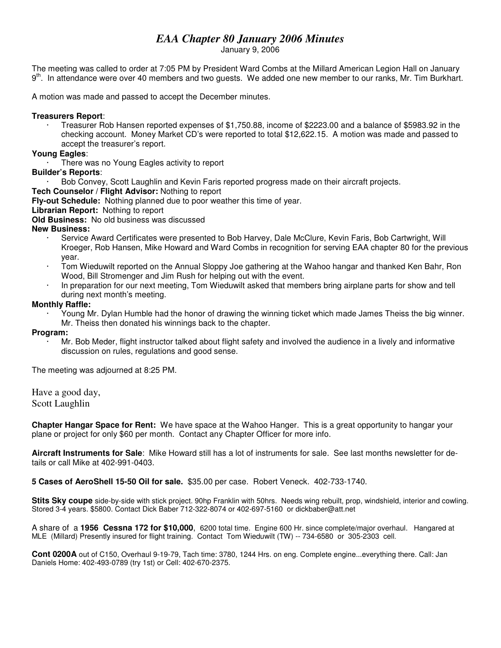## *EAA Chapter 80 January 2006 Minutes*

January 9, 2006

The meeting was called to order at 7:05 PM by President Ward Combs at the Millard American Legion Hall on January 9<sup>th</sup>. In attendance were over 40 members and two guests. We added one new member to our ranks, Mr. Tim Burkhart.

A motion was made and passed to accept the December minutes.

## **Treasurers Report**:

· Treasurer Rob Hansen reported expenses of \$1,750.88, income of \$2223.00 and a balance of \$5983.92 in the checking account. Money Market CD's were reported to total \$12,622.15. A motion was made and passed to accept the treasurer's report.

## **Young Eagles**:

There was no Young Eagles activity to report

## **Builder's Reports**:

· Bob Convey, Scott Laughlin and Kevin Faris reported progress made on their aircraft projects.

## **Tech Counselor / Flight Advisor:** Nothing to report

**Fly-out Schedule:** Nothing planned due to poor weather this time of year.

## **Librarian Report:** Nothing to report

**Old Business:** No old business was discussed

## **New Business:**

- Service Award Certificates were presented to Bob Harvey, Dale McClure, Kevin Faris, Bob Cartwright, Will Kroeger, Rob Hansen, Mike Howard and Ward Combs in recognition for serving EAA chapter 80 for the previous year.
- · Tom Wieduwilt reported on the Annual Sloppy Joe gathering at the Wahoo hangar and thanked Ken Bahr, Ron Wood, Bill Stromenger and Jim Rush for helping out with the event.
- · In preparation for our next meeting, Tom Wieduwilt asked that members bring airplane parts for show and tell during next month's meeting.

## **Monthly Raffle:**

· Young Mr. Dylan Humble had the honor of drawing the winning ticket which made James Theiss the big winner. Mr. Theiss then donated his winnings back to the chapter.

#### **Program:**

· Mr. Bob Meder, flight instructor talked about flight safety and involved the audience in a lively and informative discussion on rules, regulations and good sense.

The meeting was adjourned at 8:25 PM.

Have a good day,

Scott Laughlin

**Chapter Hangar Space for Rent:** We have space at the Wahoo Hanger. This is a great opportunity to hangar your plane or project for only \$60 per month. Contact any Chapter Officer for more info.

**Aircraft Instruments for Sale**: Mike Howard still has a lot of instruments for sale. See last months newsletter for details or call Mike at 402-991-0403.

**5 Cases of AeroShell 15-50 Oil for sale.** \$35.00 per case. Robert Veneck. 402-733-1740.

**Stits Sky coupe** side-by-side with stick project. 90hp Franklin with 50hrs. Needs wing rebuilt, prop, windshield, interior and cowling. Stored 3-4 years. \$5800. Contact Dick Baber 712-322-8074 or 402-697-5160 or dickbaber@att.net

A share of a **1956 Cessna 172 for \$10,000**, 6200 total time. Engine 600 Hr. since complete/major overhaul. Hangared at MLE (Millard) Presently insured for flight training. Contact Tom Wieduwilt (TW) -- 734-6580 or 305-2303 cell.

**Cont 0200A** out of C150, Overhaul 9-19-79, Tach time: 3780, 1244 Hrs. on eng. Complete engine...everything there. Call: Jan Daniels Home: 402-493-0789 (try 1st) or Cell: 402-670-2375.